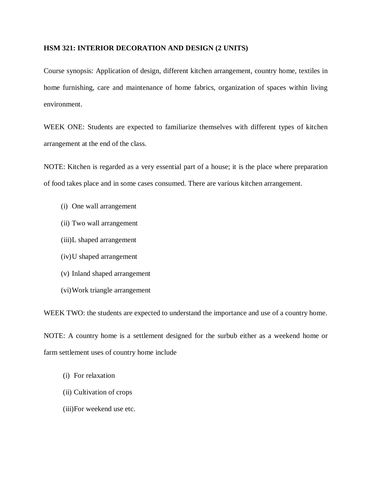## **HSM 321: INTERIOR DECORATION AND DESIGN (2 UNITS)**

Course synopsis: Application of design, different kitchen arrangement, country home, textiles in home furnishing, care and maintenance of home fabrics, organization of spaces within living environment.

WEEK ONE: Students are expected to familiarize themselves with different types of kitchen arrangement at the end of the class.

NOTE: Kitchen is regarded as a very essential part of a house; it is the place where preparation of food takes place and in some cases consumed. There are various kitchen arrangement.

- (i) One wall arrangement
- (ii) Two wall arrangement
- (iii)L shaped arrangement
- (iv)U shaped arrangement
- (v) Inland shaped arrangement
- (vi)Work triangle arrangement

WEEK TWO: the students are expected to understand the importance and use of a country home.

NOTE: A country home is a settlement designed for the surbub either as a weekend home or farm settlement uses of country home include

- (i) For relaxation
- (ii) Cultivation of crops
- (iii)For weekend use etc.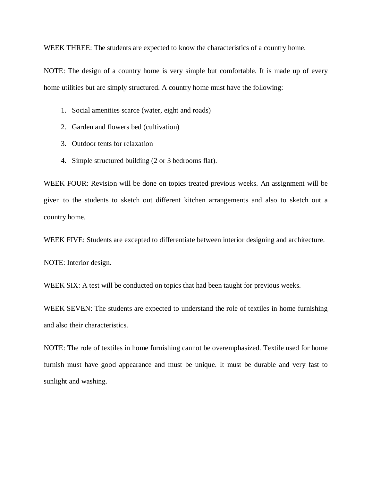WEEK THREE: The students are expected to know the characteristics of a country home.

NOTE: The design of a country home is very simple but comfortable. It is made up of every home utilities but are simply structured. A country home must have the following:

- 1. Social amenities scarce (water, eight and roads)
- 2. Garden and flowers bed (cultivation)
- 3. Outdoor tents for relaxation
- 4. Simple structured building (2 or 3 bedrooms flat).

WEEK FOUR: Revision will be done on topics treated previous weeks. An assignment will be given to the students to sketch out different kitchen arrangements and also to sketch out a country home.

WEEK FIVE: Students are excepted to differentiate between interior designing and architecture.

NOTE: Interior design.

WEEK SIX: A test will be conducted on topics that had been taught for previous weeks.

WEEK SEVEN: The students are expected to understand the role of textiles in home furnishing and also their characteristics.

NOTE: The role of textiles in home furnishing cannot be overemphasized. Textile used for home furnish must have good appearance and must be unique. It must be durable and very fast to sunlight and washing.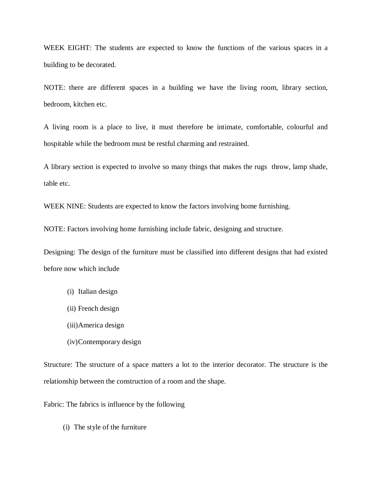WEEK EIGHT: The students are expected to know the functions of the various spaces in a building to be decorated.

NOTE: there are different spaces in a building we have the living room, library section, bedroom, kitchen etc.

A living room is a place to live, it must therefore be intimate, comfortable, colourful and hospitable while the bedroom must be restful charming and restrained.

A library section is expected to involve so many things that makes the rugs throw, lamp shade, table etc.

WEEK NINE: Students are expected to know the factors involving home furnishing.

NOTE: Factors involving home furnishing include fabric, designing and structure.

Designing: The design of the furniture must be classified into different designs that had existed before now which include

- (i) Italian design
- (ii) French design
- (iii)America design
- (iv)Contemporary design

Structure: The structure of a space matters a lot to the interior decorator. The structure is the relationship between the construction of a room and the shape.

Fabric: The fabrics is influence by the following

(i) The style of the furniture